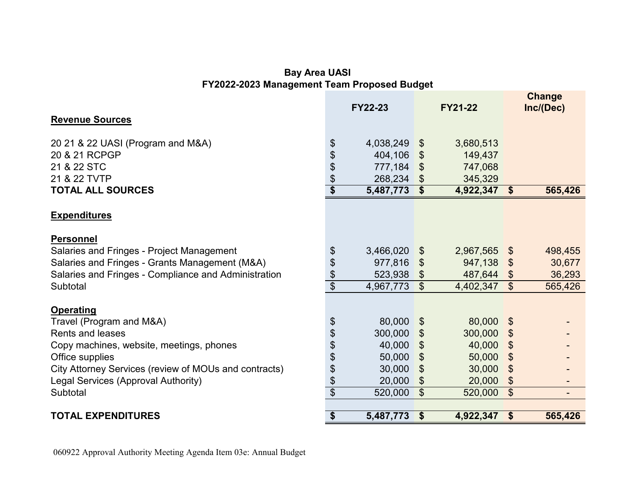## **Bay Area UASI FY2022-2023 Management Team Proposed Budget**

|                                                       |                                      | <b>FY22-23</b> |                            | <b>FY21-22</b> |                           | <b>Change</b><br>Inc/(Dec) |
|-------------------------------------------------------|--------------------------------------|----------------|----------------------------|----------------|---------------------------|----------------------------|
| <b>Revenue Sources</b>                                |                                      |                |                            |                |                           |                            |
| 20 21 & 22 UASI (Program and M&A)                     | \$                                   | 4,038,249      | $\boldsymbol{\theta}$      | 3,680,513      |                           |                            |
| 20 & 21 RCPGP                                         | \$                                   | 404,106        | $\boldsymbol{\mathcal{S}}$ | 149,437        |                           |                            |
| 21 & 22 STC                                           | \$                                   | 777,184        | \$                         | 747,068        |                           |                            |
| 21 & 22 TVTP                                          | \$                                   | 268,234        | $\boldsymbol{\theta}$      | 345,329        |                           |                            |
| <b>TOTAL ALL SOURCES</b>                              | $\overline{\boldsymbol{\mathsf{s}}}$ | 5,487,773      | $\overline{\$}$            | 4,922,347      | \$                        | 565,426                    |
| <b>Expenditures</b>                                   |                                      |                |                            |                |                           |                            |
| <b>Personnel</b>                                      |                                      |                |                            |                |                           |                            |
| Salaries and Fringes - Project Management             | \$                                   | 3,466,020      | \$                         | 2,967,565      | $\mathfrak{F}$            | 498,455                    |
| Salaries and Fringes - Grants Management (M&A)        | \$                                   | 977,816        | \$                         | 947,138        | $\mathfrak{F}$            | 30,677                     |
| Salaries and Fringes - Compliance and Administration  | \$                                   | 523,938        | \$                         | 487,644        | $\mathcal{L}$             | 36,293                     |
| Subtotal                                              | $\overline{\$}$                      | 4,967,773      | $\mathcal{S}$              | 4,402,347      | \$                        | 565,426                    |
| <b>Operating</b>                                      |                                      |                |                            |                |                           |                            |
| Travel (Program and M&A)                              | \$                                   | 80,000         | \$                         | 80,000         | $\boldsymbol{\mathsf{S}}$ |                            |
| <b>Rents and leases</b>                               | \$                                   | 300,000        | \$                         | 300,000        | \$                        |                            |
| Copy machines, website, meetings, phones              | \$                                   | 40,000         | $\boldsymbol{\theta}$      | 40,000         | \$                        |                            |
| Office supplies                                       | \$                                   | 50,000         | $\mathfrak{S}$             | 50,000         | \$                        |                            |
| City Attorney Services (review of MOUs and contracts) | \$                                   | 30,000         | \$                         | 30,000         | \$                        |                            |
| Legal Services (Approval Authority)                   | \$                                   | 20,000         | $\boldsymbol{\theta}$      | 20,000         | \$                        |                            |
| Subtotal                                              | $\overline{\$}$                      | 520,000        | $\mathcal{S}$              | 520,000        | $\mathfrak{L}$            |                            |
| <b>TOTAL EXPENDITURES</b>                             | \$                                   | 5,487,773      | $\sqrt[6]{3}$              | 4,922,347 \$   |                           | 565,426                    |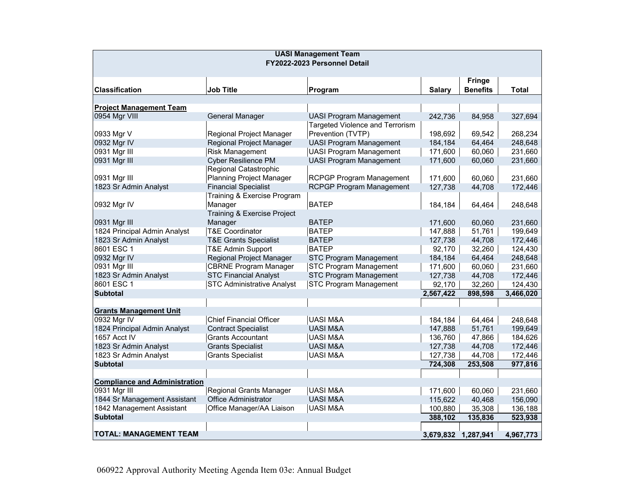| <b>UASI Management Team</b>          |                                   |                                        |                     |                 |              |  |  |
|--------------------------------------|-----------------------------------|----------------------------------------|---------------------|-----------------|--------------|--|--|
| FY2022-2023 Personnel Detail         |                                   |                                        |                     |                 |              |  |  |
|                                      |                                   |                                        |                     |                 |              |  |  |
|                                      |                                   |                                        |                     | <b>Fringe</b>   |              |  |  |
| <b>Classification</b>                | <b>Job Title</b>                  | Program                                | <b>Salary</b>       | <b>Benefits</b> | <b>Total</b> |  |  |
|                                      |                                   |                                        |                     |                 |              |  |  |
| <b>Project Management Team</b>       |                                   |                                        |                     |                 |              |  |  |
| 0954 Mgr VIII                        | General Manager                   | <b>UASI Program Management</b>         | 242,736             | 84,958          | 327,694      |  |  |
|                                      |                                   | <b>Targeted Violence and Terrorism</b> |                     |                 |              |  |  |
| 0933 Mgr V                           | Regional Project Manager          | Prevention (TVTP)                      | 198,692             | 69,542          | 268,234      |  |  |
| 0932 Mgr IV                          | Regional Project Manager          | <b>UASI Program Management</b>         | 184,184             | 64,464          | 248,648      |  |  |
| 0931 Mgr III                         | <b>Risk Management</b>            | <b>UASI Program Management</b>         | 171,600             | 60,060          | 231,660      |  |  |
| 0931 Mgr III                         | <b>Cyber Resilience PM</b>        | <b>UASI Program Management</b>         | 171,600             | 60,060          | 231,660      |  |  |
|                                      | Regional Catastrophic             |                                        |                     |                 |              |  |  |
| 0931 Mgr III                         | <b>Planning Project Manager</b>   | <b>RCPGP Program Management</b>        | 171,600             | 60,060          | 231,660      |  |  |
| 1823 Sr Admin Analyst                | <b>Financial Specialist</b>       | <b>RCPGP Program Management</b>        | 127,738             | 44,708          | 172,446      |  |  |
|                                      | Training & Exercise Program       |                                        |                     |                 |              |  |  |
| 0932 Mgr IV                          | Manager                           | <b>BATEP</b>                           | 184,184             | 64,464          | 248,648      |  |  |
|                                      | Training & Exercise Project       |                                        |                     |                 |              |  |  |
| 0931 Mgr III                         | Manager                           | <b>BATEP</b>                           | 171,600             | 60,060          | 231,660      |  |  |
| 1824 Principal Admin Analyst         | <b>T&amp;E Coordinator</b>        | <b>BATEP</b>                           | 147,888             | 51,761          | 199,649      |  |  |
| 1823 Sr Admin Analyst                | <b>T&amp;E Grants Specialist</b>  | <b>BATEP</b>                           | 127,738             | 44,708          | 172,446      |  |  |
| 8601 ESC 1                           | T&E Admin Support                 | <b>BATEP</b>                           | 92,170              | 32,260          | 124,430      |  |  |
| 0932 Mgr IV                          | Regional Project Manager          | STC Program Management                 | 184,184             | 64,464          | 248,648      |  |  |
| 0931 Mgr III                         | <b>CBRNE Program Manager</b>      | <b>STC Program Management</b>          | 171,600             | 60,060          | 231,660      |  |  |
| 1823 Sr Admin Analyst                | <b>STC Financial Analyst</b>      | <b>STC Program Management</b>          | 127,738             | 44,708          | 172,446      |  |  |
| 8601 ESC 1                           | <b>STC Administrative Analyst</b> | <b>STC Program Management</b>          | 92,170              | 32,260          | 124,430      |  |  |
| <b>Subtotal</b>                      |                                   |                                        | 2,567,422           | 898,598         | 3,466,020    |  |  |
|                                      |                                   |                                        |                     |                 |              |  |  |
| <b>Grants Management Unit</b>        |                                   |                                        |                     |                 |              |  |  |
| 0932 Mgr IV                          | <b>Chief Financial Officer</b>    | <b>UASI M&amp;A</b>                    | 184,184             | 64,464          | 248,648      |  |  |
| 1824 Principal Admin Analyst         | <b>Contract Specialist</b>        | <b>UASI M&amp;A</b>                    | 147,888             | 51,761          | 199,649      |  |  |
| 1657 Acct IV                         | <b>Grants Accountant</b>          | UASI M&A                               | 136,760             | 47,866          | 184,626      |  |  |
| 1823 Sr Admin Analyst                | <b>Grants Specialist</b>          | <b>UASI M&amp;A</b>                    | 127,738             | 44,708          | 172,446      |  |  |
| 1823 Sr Admin Analyst                | <b>Grants Specialist</b>          | <b>UASI M&amp;A</b>                    | 127,738             | 44,708          | 172,446      |  |  |
| <b>Subtotal</b>                      |                                   |                                        | 724,308             | 253,508         | 977,816      |  |  |
|                                      |                                   |                                        |                     |                 |              |  |  |
| <b>Compliance and Administration</b> |                                   |                                        |                     |                 |              |  |  |
| 0931 Mgr III                         | Regional Grants Manager           | <b>UASI M&amp;A</b>                    | 171,600             | 60,060          | 231,660      |  |  |
| 1844 Sr Management Assistant         | <b>Office Administrator</b>       | <b>UASI M&amp;A</b>                    | 115,622             | 40,468          | 156,090      |  |  |
| 1842 Management Assistant            | Office Manager/AA Liaison         | <b>UASI M&amp;A</b>                    | 100,880             | 35,308          | 136,188      |  |  |
| <b>Subtotal</b>                      |                                   |                                        | 388,102             | 135,836         | 523,938      |  |  |
|                                      |                                   |                                        |                     |                 |              |  |  |
| <b>TOTAL: MANAGEMENT TEAM</b>        |                                   |                                        | 3,679,832 1,287,941 |                 | 4,967,773    |  |  |